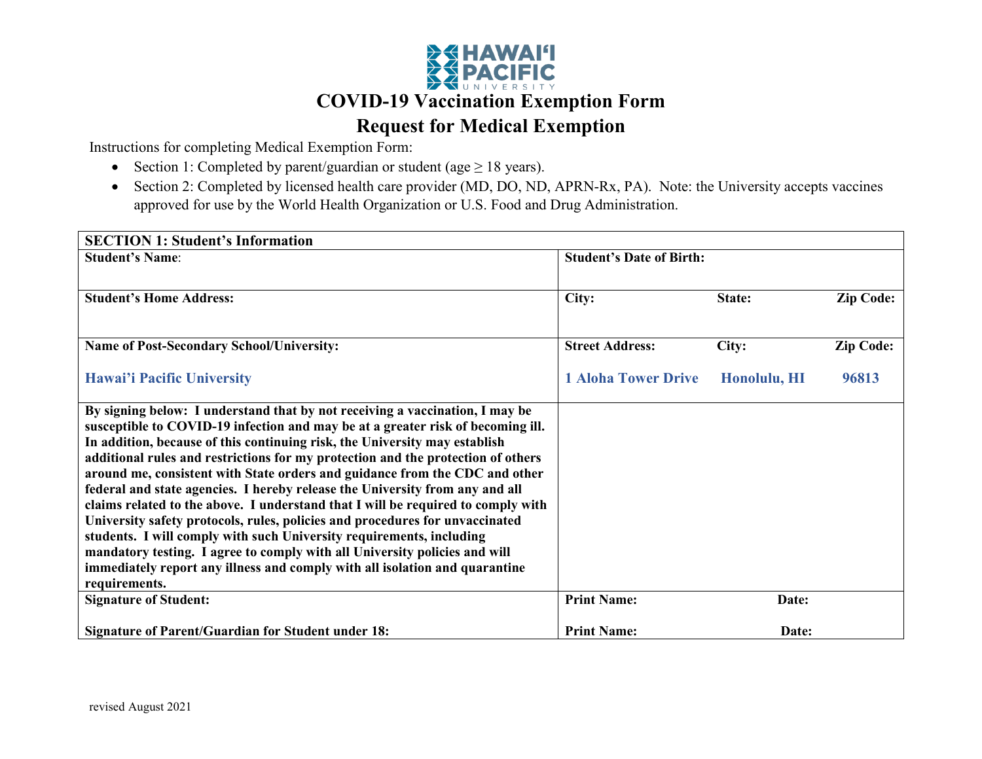

Instructions for completing Medical Exemption Form:

- Section 1: Completed by parent/guardian or student (age  $\geq 18$  years).
- Section 2: Completed by licensed health care provider (MD, DO, ND, APRN-Rx, PA). Note: the University accepts vaccines approved for use by the World Health Organization or U.S. Food and Drug Administration.

| <b>SECTION 1: Student's Information</b>                                                                                                                                                                                                                                                                                                                                                                                                                                                                                                                                                                                                                                                                                                                                                                                                                                                                                    |                                 |              |                  |  |
|----------------------------------------------------------------------------------------------------------------------------------------------------------------------------------------------------------------------------------------------------------------------------------------------------------------------------------------------------------------------------------------------------------------------------------------------------------------------------------------------------------------------------------------------------------------------------------------------------------------------------------------------------------------------------------------------------------------------------------------------------------------------------------------------------------------------------------------------------------------------------------------------------------------------------|---------------------------------|--------------|------------------|--|
| <b>Student's Name:</b>                                                                                                                                                                                                                                                                                                                                                                                                                                                                                                                                                                                                                                                                                                                                                                                                                                                                                                     | <b>Student's Date of Birth:</b> |              |                  |  |
|                                                                                                                                                                                                                                                                                                                                                                                                                                                                                                                                                                                                                                                                                                                                                                                                                                                                                                                            |                                 |              |                  |  |
| <b>Student's Home Address:</b>                                                                                                                                                                                                                                                                                                                                                                                                                                                                                                                                                                                                                                                                                                                                                                                                                                                                                             | City:                           | State:       | <b>Zip Code:</b> |  |
|                                                                                                                                                                                                                                                                                                                                                                                                                                                                                                                                                                                                                                                                                                                                                                                                                                                                                                                            |                                 |              |                  |  |
| <b>Name of Post-Secondary School/University:</b>                                                                                                                                                                                                                                                                                                                                                                                                                                                                                                                                                                                                                                                                                                                                                                                                                                                                           | <b>Street Address:</b>          | City:        | <b>Zip Code:</b> |  |
| <b>Hawai'i Pacific University</b>                                                                                                                                                                                                                                                                                                                                                                                                                                                                                                                                                                                                                                                                                                                                                                                                                                                                                          | <b>1 Aloha Tower Drive</b>      | Honolulu, HI | 96813            |  |
| By signing below: I understand that by not receiving a vaccination, I may be<br>susceptible to COVID-19 infection and may be at a greater risk of becoming ill.<br>In addition, because of this continuing risk, the University may establish<br>additional rules and restrictions for my protection and the protection of others<br>around me, consistent with State orders and guidance from the CDC and other<br>federal and state agencies. I hereby release the University from any and all<br>claims related to the above. I understand that I will be required to comply with<br>University safety protocols, rules, policies and procedures for unvaccinated<br>students. I will comply with such University requirements, including<br>mandatory testing. I agree to comply with all University policies and will<br>immediately report any illness and comply with all isolation and quarantine<br>requirements. |                                 |              |                  |  |
| <b>Signature of Student:</b>                                                                                                                                                                                                                                                                                                                                                                                                                                                                                                                                                                                                                                                                                                                                                                                                                                                                                               | <b>Print Name:</b>              | Date:        |                  |  |
| <b>Signature of Parent/Guardian for Student under 18:</b>                                                                                                                                                                                                                                                                                                                                                                                                                                                                                                                                                                                                                                                                                                                                                                                                                                                                  | <b>Print Name:</b>              | Date:        |                  |  |